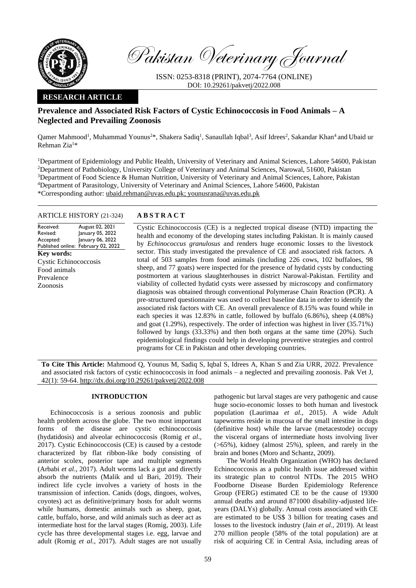

Pakistan Veterinary Journal

ISSN: 0253-8318 (PRINT), 2074-7764 (ONLINE) DOI: 10.29261/pakvetj/2022.008

# **RESEARCH ARTICLE**

# **Prevalence and Associated Risk Factors of Cystic Echinococcosis in Food Animals – A Neglected and Prevailing Zoonosis**

Qamer Mahmood<sup>1</sup>, Muhammad Younus<sup>2\*</sup>, Shakera Sadiq<sup>1</sup>, Sanaullah Iqbal<sup>3</sup>, Asif Idrees<sup>2</sup>, Sakandar Khan<sup>4</sup> and Ubaid ur Rehman Zia<sup>1</sup>\*

Department of Epidemiology and Public Health, University of Veterinary and Animal Sciences, Lahore 54600, Pakistan Department of Pathobiology, University College of Veterinary and Animal Sciences, Narowal, 51600, Pakistan Department of Food Science & Human Nutrition, University of Veterinary and Animal Sciences, Lahore, Pakistan Department of Parasitology, University of Veterinary and Animal Sciences, Lahore 54600, Pakistan \*Corresponding author: [ubaid.rehman@uvas.edu.pk;](mailto:ubaid.rehman@uvas.edu.pk) [younusrana@uvas.edu.pk](mailto:younusrana@uvas.edu.pk)

## ARTICLE HISTORY (21-324) **A B S T R A C T**

Received: Revised: Accepted: Published online: February 02, 2022 August 02, 2021 January 05, 2022 January 06, 2022 **Key words:**  Cystic Echinococcosis Food animals Prevalence Zoonosis

Cystic Echinococcosis (CE) is a neglected tropical disease (NTD) impacting the health and economy of the developing states including Pakistan. It is mainly caused by *Echinococcus granulosus* and renders huge economic losses to the livestock sector. This study investigated the prevalence of CE and associated risk factors. A total of 503 samples from food animals (including 226 cows, 102 buffaloes, 98 sheep, and 77 goats) were inspected for the presence of hydatid cysts by conducting postmortem at various slaughterhouses in district Narowal-Pakistan. Fertility and viability of collected hydatid cysts were assessed by microscopy and confirmatory diagnosis was obtained through conventional Polymerase Chain Reaction (PCR). A pre-structured questionnaire was used to collect baseline data in order to identify the associated risk factors with CE. An overall prevalence of 8.15% was found while in each species it was 12.83% in cattle, followed by buffalo (6.86%), sheep (4.08%) and goat (1.29%), respectively. The order of infection was highest in liver (35.71%) followed by lungs (33.33%) and then both organs at the same time (20%). Such epidemiological findings could help in developing preventive strategies and control programs for CE in Pakistan and other developing countries.

**To Cite This Article:** Mahmood Q, Younus M, Sadiq S, Iqbal S, Idrees A, Khan S and Zia URR, 2022. Prevalence and associated risk factors of cystic echinococcosis in food animals – a neglected and prevailing zoonosis. Pak Vet J, 42(1): 59-64[. http://dx.doi.org/10.29261/pakvetj/2022.008](http://pvj.com.pk/pdf-files/42_1/59-64.pdf)

## **INTRODUCTION**

Echinococcosis is a serious zoonosis and public health problem across the globe. The two most important forms of the disease are cystic echinococcosis (hydatidosis) and alveolar echinococcosis (Romig *et al*., 2017). Cystic Echinococcosis (CE) is caused by a cestode characterized by flat ribbon-like body consisting of anterior scolex, posterior tape and multiple segments (Arbabi *et al*., 2017). Adult worms lack a gut and directly absorb the nutrients (Malik and ul Bari, 2019). Their indirect life cycle involves a variety of hosts in the transmission of infection. Canids (dogs, dingoes, wolves, coyotes) act as definitive/primary hosts for adult worms while humans, domestic animals such as sheep, goat, cattle, buffalo, horse, and wild animals such as deer act as intermediate host for the larval stages (Romig, 2003). Life cycle has three developmental stages i.e. egg, larvae and adult (Romig *et al*., 2017). Adult stages are not usually

pathogenic but larval stages are very pathogenic and cause huge socio-economic losses to both human and livestock population (Laurimaa *et al*., 2015). A wide Adult tapeworms reside in mucosa of the small intestine in dogs (definitive host) while the larvae (metacestode) occupy the visceral organs of intermediate hosts involving liver (>65%), kidney (almost 25%), spleen, and rarely in the brain and bones (Moro and Schantz, 2009).

The World Health Organization (WHO) has declared Echinococcosis as a public health issue addressed within its strategic plan to control NTDs. The 2015 WHO Foodborne Disease Burden Epidemiology Reference Group (FERG) estimated CE to be the cause of 19300 annual deaths and around 871000 disability-adjusted lifeyears (DALYs) globally. Annual costs associated with CE are estimated to be US\$ 3 billion for treating cases and losses to the livestock industry (Jain *et al*., 2019). At least 270 million people (58% of the total population) are at risk of acquiring CE in Central Asia, including areas of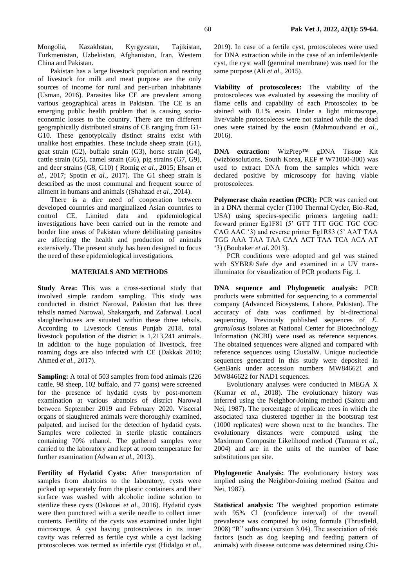Mongolia, Kazakhstan, Kyrgyzstan, Tajikistan, Turkmenistan, Uzbekistan, Afghanistan, Iran, Western China and Pakistan.

Pakistan has a large livestock population and rearing of livestock for milk and meat purpose are the only sources of income for rural and peri-urban inhabitants (Usman, 2016). Parasites like CE are prevalent among various geographical areas in Pakistan. The CE is an emerging public health problem that is causing socioeconomic losses to the country. There are ten different geographically distributed strains of CE ranging from G1- G10. These genotypically distinct strains exist with unalike host empathies. These include sheep strain (G1), goat strain (G2), buffalo strain (G3), horse strain (G4), cattle strain (G5), camel strain (G6), pig strains (G7, G9), and deer strains (G8, G10) ( Romig *et al.,* 2015; Ehsan *et al.,* 2017; Spotin *et al.,* 2017). The G1 sheep strain is described as the most communal and frequent source of ailment in humans and animals ((Shahzad *et al.,* 2014).

There is a dire need of cooperation between developed countries and marginalized Asian countries to control CE. Limited data and epidemiological investigations have been carried out in the remote and border line areas of Pakistan where debilitating parasites are affecting the health and production of animals extensively. The present study has been designed to focus the need of these epidemiological investigations.

#### **MATERIALS AND METHODS**

**Study Area:** This was a cross-sectional study that involved simple random sampling. This study was conducted in district Narowal, Pakistan that has three tehsils named Narowal, Shakargarh, and Zafarwal. Local slaughterhouses are situated within these three tehsils. According to Livestock Census Punjab 2018, total livestock population of the district is 1,213,241 animals. In addition to the huge population of livestock, free roaming dogs are also infected with CE (Dakkak 2010; Ahmed *et al.,* 2017).

**Sampling:** A total of 503 samples from food animals (226) cattle, 98 sheep, 102 buffalo, and 77 goats) were screened for the presence of hydatid cysts by post-mortem examination at various abattoirs of district Narowal between September 2019 and February 2020. Visceral organs of slaughtered animals were thoroughly examined, palpated, and incised for the detection of hydatid cysts. Samples were collected in sterile plastic containers containing 70% ethanol. The gathered samples were carried to the laboratory and kept at room temperature for further examination (Adwan *et al.,* 2013).

**Fertility of Hydatid Cysts:** After transportation of samples from abattoirs to the laboratory, cysts were picked up separately from the plastic containers and their surface was washed with alcoholic iodine solution to sterilize these cysts (Oskouei *et al*., 2016). Hydatid cysts were then punctured with a sterile needle to collect inner contents. Fertility of the cysts was examined under light microscope. A cyst having protoscoleces in its inner cavity was referred as fertile cyst while a cyst lacking protoscoleces was termed as infertile cyst (Hidalgo *et al.,*

2019). In case of a fertile cyst, protoscoleces were used for DNA extraction while in the case of an infertile/sterile cyst, the cyst wall (germinal membrane) was used for the same purpose (Ali *et al*., 2015).

**Viability of protoscoleces:** The viability of the protoscoleces was evaluated by assessing the motility of flame cells and capability of each Protoscolex to be stained with 0.1% eosin. Under a light microscope, live/viable protoscoleces were not stained while the dead ones were stained by the eosin (Mahmoudvand *et al.,* 2016).

**DNA extraction:** WizPrep™ gDNA Tissue Kit (wizbiosolutions, South Korea, REF # W71060-300) was used to extract DNA from the samples which were declared positive by microscopy for having viable protoscoleces.

**Polymerase chain reaction (PCR):** PCR was carried out in a DNA thermal cycler (T100 Thermal Cycler, Bio-Rad, USA) using species-specific primers targeting nad1: forward primer Eg1F81 (5' GTT TTT GGC TGC CGC CAG AAC '3) and reverse primer Eg1R83 (5' AAT TAA TGG AAA TAA TAA CAA ACT TAA TCA ACA AT '3) (Boubaker *et al*. 2013).

PCR conditions were adopted and gel was stained with SYBR® Safe dye and examined in a UV transilluminator for visualization of PCR products [Fig. 1.](#page-2-0)

**DNA sequence and Phylogenetic analysis:** PCR products were submitted for sequencing to a commercial company (Advanced Biosystems, Lahore, Pakistan). The accuracy of data was confirmed by bi-directional sequencing. Previously published sequences of *E. granulosus* isolates at National Center for Biotechnology Information (NCBI) were used as reference sequences. The obtained sequences were aligned and compared with reference sequences using ClustalW. Unique nucleotide sequences generated in this study were deposited in GenBank under accession numbers MW846621 and MW846622 for NAD1 sequences.

Evolutionary analyses were conducted in MEGA X (Kumar *et al*., 2018). The evolutionary history was inferred using the Neighbor-Joining method (Saitou and Nei, 1987). The percentage of replicate trees in which the associated taxa clustered together in the bootstrap test (1000 replicates) were shown next to the branches. The evolutionary distances were computed using the Maximum Composite Likelihood method (Tamura *et al*., 2004) and are in the units of the number of base substitutions per site.

**Phylogenetic Analysis:** The evolutionary history was implied using the Neighbor-Joining method (Saitou and Nei, 1987).

**Statistical analysis:** The weighted proportion estimate with 95% Cl (confidence interval) of the overall prevalence was computed by using formula (Thrusfield, 2008) "R" software (version 3.04). The association of risk factors (such as dog keeping and feeding pattern of animals) with disease outcome was determined using Chi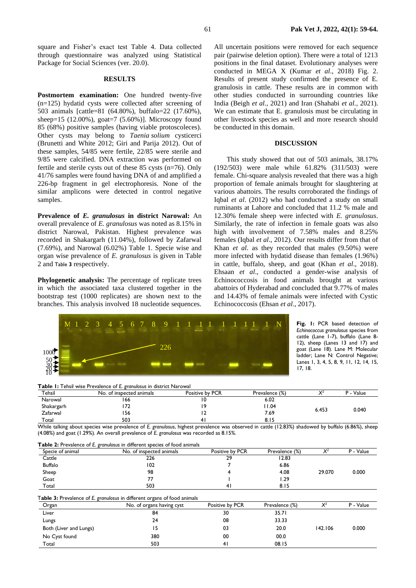square and Fisher's exact test [Table 4.](#page-3-0) Data collected through questionnaire was analyzed using Statistical Package for Social Sciences (ver. 20.0).

## **RESULTS**

**Postmortem examination:** One hundred twenty-five (n=125) hydatid cysts were collected after screening of 503 animals [cattle=81 (64.80%), buffalo=22 (17.60%), sheep=15 (12.00%), goat=7 (5.60%)]. Microscopy found 85 (68%) positive samples (having viable protoscoleces). Other cysts may belong to *Taenia solium* cysticerci (Brunetti and White 2012; Giri and Parija 2012). Out of these samples, 54/85 were fertile, 22/85 were sterile and 9/85 were calcified. DNA extraction was performed on fertile and sterile cysts out of these 85 cysts (n=76). Only 41/76 samples were found having DNA of and amplified a 226-bp fragment in gel electrophoresis. None of the similar amplicons were detected in control negative samples.

**Prevalence of** *E. granulosus* **in district Narowal:** An overall prevalence of *E. granulosus* was noted as 8.15% in district Narowal, Pakistan. Highest prevalence was recorded in Shakargarh (11.04%), followed by Zafarwal (7.69%), and Narowal (6.02%) [Table 1.](#page-2-1) Specie wise and organ wise prevalence of *E. granulosus* is given in [Table](#page-2-2)  [2](#page-2-2) and [Table](#page-2-3) **3** respectively.

**Phylogenetic analysis:** The percentage of replicate trees in which the associated taxa clustered together in the bootstrap test (1000 replicates) are shown next to the branches. This analysis involved 18 nucleotide sequences.

All uncertain positions were removed for each sequence pair (pairwise deletion option). There were a total of 1213 positions in the final dataset. Evolutionary analyses were conducted in MEGA X (Kumar *et al*., 2018) [Fig.](#page-3-1) 2. Results of present study confirmed the presence of E. granulosis in cattle. These results are in common with other studies conducted in surrounding countries like India (Beigh *et al.,* 2021) and Iran (Shahabi *et al.,* 2021). We can estimate that E. granulosis must be circulating in other livestock species as well and more research should be conducted in this domain.

#### **DISCUSSION**

This study showed that out of 503 animals, 38.17% (192/503) were male while 61.82% (311/503) were female. Chi-square analysis revealed that there was a high proportion of female animals brought for slaughtering at various abattoirs. The results corroborated the findings of Iqbal *et al*. (2012) who had conducted a study on small ruminants at Lahore and concluded that 11.2 % male and 12.30% female sheep were infected with *E. granulosus*. Similarly, the rate of infection in female goats was also high with involvement of 7.58% males and 8.25% females (Iqbal *et al*., 2012). Our results differ from that of Khan *et al*. as they recorded that males (9.50%) were more infected with hydatid disease than females (1.96%) in cattle, buffalo, sheep, and goat (Khan *et al*., 2018). Ehsaan *et al*., conducted a gender-wise analysis of Echinococcosis in food animals brought at various abattoirs of Hyderabad and concluded that 9.77% of males and 14.43% of female animals were infected with Cystic Echinococcosis (Ehsan *et al*., 2017).



<span id="page-2-0"></span>**Fig. 1:** PCR based detection of *Echinococcus granulosus* species from cattle (Lane 1-7), buffalo (Lane 8- 12), sheep (Lanes 13 and 17) and goat (Lane 18). Lane M: Molecular ladder; Lane N: Control Negative; Lanes 1, 3, 4, 5, 8, 9, 11, 12, 14, 15, 17, 18.

<span id="page-2-1"></span>**Table 1:** Tehsil wise Prevalence of *E. granulosus* in district Narowal

| Tehsil     | No. of inspected animals | Positive by PCR | Prevalence (%) | $\mathcal{V}^2$<br>,, | Value<br>$\overline{\phantom{a}}$ |
|------------|--------------------------|-----------------|----------------|-----------------------|-----------------------------------|
| Narowal    | 166                      | ۱0              | 6.02           |                       | 0.040                             |
| Shakargarh |                          | i C             | 04. ا          | 6.453                 |                                   |
| Zafarwal   | 156                      | $\epsilon$      | 7.69           |                       |                                   |
| Total      | 503                      | 4.              | 8. I 5         |                       |                                   |

While talking about species wise prevalence of *E. granulosus*, highest prevalence was observed in cattle (12.83%) shadowed by buffalo (6.86%), sheep (4.08%) and goat (1.29%). An overall prevalence of *E. granulosus* was recorded as 8.15%.

<span id="page-2-3"></span><span id="page-2-2"></span>

| Specie of animal       | No. of inspected animals                                                 | Positive by PCR | Prevalence (%) | $X^2$   | P - Value |
|------------------------|--------------------------------------------------------------------------|-----------------|----------------|---------|-----------|
| Cattle                 | 226                                                                      | 29              | 12.83          |         |           |
| <b>Buffalo</b>         | 102                                                                      |                 | 6.86           |         |           |
| Sheep                  | 98                                                                       |                 | 4.08           | 29.070  | 0.000     |
| Goat                   | 77                                                                       |                 | I.29           |         |           |
| Total                  | 503                                                                      | 41              | 8.15           |         |           |
|                        | Table 3: Prevalence of E. granulosus in different organs of food animals |                 |                |         |           |
|                        |                                                                          |                 |                |         |           |
| Organ                  | No. of organs having cyst                                                | Positive by PCR | Prevalence (%) | $X^2$   | P - Value |
| Liver                  | 84                                                                       | 30              | 35.71          |         |           |
| Lungs                  | 24                                                                       | 08              | 33.33          |         |           |
| Both (Liver and Lungs) | 15                                                                       | 03              | 20.0           | 142.106 | 0.000     |
| No Cyst found          | 380                                                                      | 00              | 00.0           |         |           |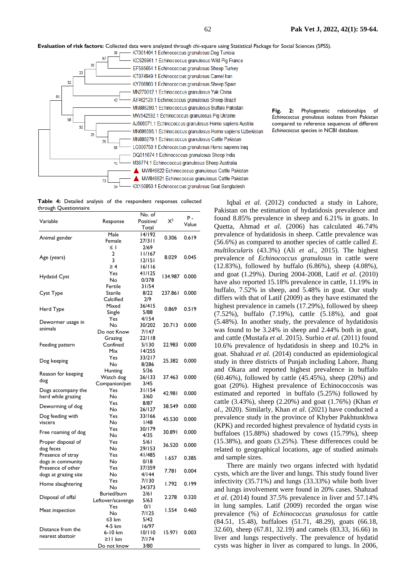**Evaluation of risk factors:** Collected data were analyzed through chi-square using Statistical Package for Social Sciences (SPSS).<br><sup>38</sup> —— KT001404.1 Echinococcus granulosus Dog Tunisia



*Echinococcus granulosus* isolates from Pakistan compared to reference sequences of different *Echinococcus* species in NCBI database.

<span id="page-3-1"></span>**Fig. 2:** Phylogenetic relationships of

<span id="page-3-0"></span>**Table 4:** Detailed analysis of the respondent responses collected through Questionnaire

|                      |                    | No. of          |         | $P -$ |
|----------------------|--------------------|-----------------|---------|-------|
| Variable             | Response           | Positive/       | $X^2$   | Value |
|                      | Male               | Total<br>14/192 |         |       |
| Animal gender        |                    | 27/311          | 0.306   | 0.619 |
|                      | Female<br>$\leq$ 1 | 2/69            |         |       |
|                      | 2                  | 11/167          |         |       |
| Age (years)          | 3                  | 12/151          | 8.029   | 0.045 |
|                      | $\geq 4$           | 16/116          |         |       |
|                      | Yes                | 41/125          |         |       |
| Hydatid Cyst         | No                 | 0/378           | 134.987 | 0.000 |
|                      | Fertile            | 31/54           |         |       |
| Cyst Type            | Sterile            | 8/22            | 237.861 | 0.000 |
|                      | Calcified          | 2/9             |         |       |
|                      | Mixed              | 36/415          |         |       |
| Herd Type            | Single             | 5/88            | 0.869   | 0.519 |
|                      | Yes                | 4/154           |         |       |
| Dewormer usage in    | No                 | 30/202          | 20.713  | 0.000 |
| animals              | Do not Know        | 7/147           |         |       |
|                      | Grazing            | 22/118          |         |       |
| Feeding pattern      | Confined           | 5/130           | 22.983  | 0.000 |
|                      | Mix                | 14/255          |         |       |
|                      | Yes                | 33/217          | 25.382  |       |
| Dog keeping          | No                 | 8/286           |         | 0.000 |
|                      | Hunting            | 5/36            |         |       |
| Reason for keeping   | Watch dog          | 26/133          | 37.463  | 0.000 |
| dog                  | Companion/pet      | 3/45            |         |       |
| Dogs accompany the   | Yes                | 31/154          | 42.981  | 0.000 |
| herd while grazing   | No                 | 3/60            |         |       |
| Deworming of dog     | Yes                | 8/87            | 38.549  | 0.000 |
|                      | No                 | 26/127          |         |       |
| Dog feeding with     | Yes                | 33/166          | 45.530  | 0.000 |
| viscera              | No                 | 1/48            |         |       |
| Free roaming of dog  | Yes                | 30/179          | 30.891  | 0.000 |
|                      | No                 | 4/35            |         |       |
| Proper disposal of   | Yes                | 5/61            | 36.520  | 0.000 |
| dog feces            | No                 | 29/153          |         |       |
| Presence of stray    | Yes                | 41/485          | 1.657   | 0.385 |
| dogs in community    | No                 | 0/18            |         |       |
| Presence of other    | Yes                | 37/359          | 7.781   | 0.004 |
| dogs at grazing site | No                 | 4/144           |         |       |
| Home slaughtering    | Yes                | 7/130           | 1.792   | 0.199 |
|                      | No                 | 34/373          |         |       |
| Disposal of offal    | Buried/burn        | 2/61            | 2.278   | 0.320 |
|                      | Leftover/scavenge  | 5/63            |         |       |
| Meat inspection      | Yes                | 0/I             | 1.554   | 0.460 |
|                      | No                 | 7/125           |         |       |
|                      | ≤3 km              | 5/42            |         |       |
| Distance from the    | 4-5 km<br>6-10 km  | 16/97<br>10/110 | 15.971  | 0.003 |
| nearest abattoir     | $\geq$   km        | 7/174           |         |       |
|                      | Do not know        | 3/80            |         |       |
|                      |                    |                 |         |       |

Iqbal *et al*. (2012) conducted a study in Lahore, Pakistan on the estimation of hydatidosis prevalence and found 8.85% prevalence in sheep and 6.21% in goats. In Quetta, Ahmad *et al*. (2006) has calculated 46.74% prevalence of hydatidosis in sheep. Cattle prevalence was (56.6%) as compared to another species of cattle called *E. multilocularis* (43.3%) (Ali *et al*., 2015). The highest prevalence of *Echinococcus granulosus* in cattle were (12.83%), followed by buffalo (6.86%), sheep (4.08%), and goat (1.29%). During 2004-2008, Latif *et al*. (2010) have also reported 15.18% prevalence in cattle, 11.19% in buffalo, 7.52% in sheep, and 5.48% in goat. Our study differs with that of Latif (2009) as they have estimated the highest prevalence in camels (17.29%), followed by sheep (7.52%), buffalo (7.19%), cattle (5.18%), and goat (5.48%). In another study, the prevalence of hydatidosis was found to be 3.24% in sheep and 2.44% both in goat, and cattle (Mustafa *et al*. 2015). Surhio *et al*. (2011) found 10.6% prevalence of hydatidosis in sheep and 10.2% in goat. Shahzad *et al.* (2014) conducted an epidemiological study in three districts of Punjab including Lahore, Jhang and Okara and reported highest prevalence in buffalo (60.46%), followed by cattle (45.45%), sheep (20%) and goat (20%). Highest prevalence of Echinococcosis was estimated and reported in buffalo (5.25%) followed by cattle (3.43%), sheep (2.20%) and goat (1.76%) (Khan *et al*., 2020). Similarly, Khan *et al*. (2021) have conducted a prevalence study in the province of Khyber Pakhtunkhwa (KPK) and recorded highest prevalence of hydatid cysts in buffaloes (15.88%) shadowed by cows (15.79%), sheep (15.38%), and goats (3.25%). These differences could be related to geographical locations, age of studied animals and sample sizes.

There are mainly two organs infected with hydatid cysts, which are the liver and lungs. This study found liver infectivity (35.71%) and lungs (33.33%) while both liver and lungs involvement were found in 20% cases. Shahzad *et al*. (2014) found 37.5% prevalence in liver and 57.14% in lung samples. Latif (2009) recorded the organ wise prevalence (%) of *Echinococcus granulosus* for cattle (84.51, 15.48), buffaloes (51.71, 48.29), goats (66.18, 32.60), sheep (67.81, 32.19) and camels (83.33, 16.66) in liver and lungs respectively. The prevalence of hydatid cysts was higher in liver as compared to lungs. In 2006,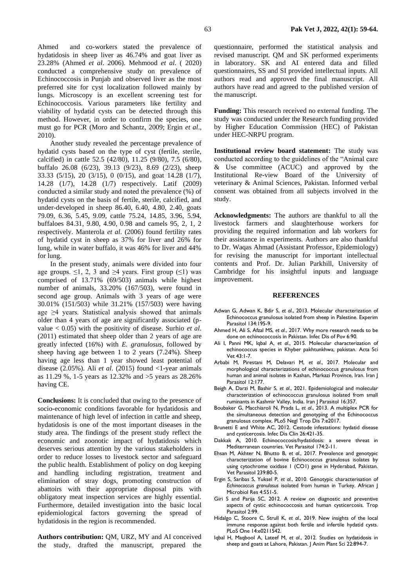Ahmed and co-workers stated the prevalence of hydatidosis in sheep liver as 46.74% and goat liver as 23.28% (Ahmed *et al*. 2006). Mehmood *et al*. ( 2020) conducted a comprehensive study on prevalence of Echinococcosis in Punjab and observed liver as the most preferred site for cyst localization followed mainly by lungs. Microscopy is an excellent screening test for Echinococcosis. Various parameters like fertility and viability of hydatid cysts can be detected through this method. However, in order to confirm the species, one must go for PCR (Moro and Schantz, 2009; Ergin *et al*., 2010).

Another study revealed the percentage prevalence of hydatid cysts based on the type of cyst (fertile, sterile, calcified) in cattle 52.5 (42/80), 11.25 (9/80), 7.5 (6/80), buffalo 26.08 (6/23), 39.13 (9/23), 8.69 (2/23), sheep 33.33 (5/15), 20 (3/15), 0 (0/15), and goat 14.28 (1/7), 14.28 (1/7), 14.28 (1/7) respectively. Latif (2009) conducted a similar study and noted the prevalence (%) of hydatid cysts on the basis of fertile, sterile, calcified, and under-developed in sheep 86.40, 6.40, 4.80, 2.40, goats 79.09, 6.36, 5.45, 9.09, cattle 75.24, 14.85, 3.96, 5.94, buffaloes 84.31, 9.80, 4.90, 0.98 and camels 95, 2, 1, 2 respectively. Manterola *et al*. (2006) found fertility rates of hydatid cyst in sheep as 37% for liver and 26% for lung, while in water buffalo, it was 46% for liver and 44% for lung.

In the present study, animals were divided into four age groups.  $\leq 1$ , 2, 3 and  $\geq 4$  years. First group ( $\leq 1$ ) was comprised of 13.71% (69/503) animals while highest number of animals, 33.20% (167/503), were found in second age group. Animals with 3 years of age were 30.01% (151/503) while 31.21% (157/503) were having age ≥4 years. Statistical analysis showed that animals older than 4 years of age are significantly associated (pvalue < 0.05) with the positivity of disease. Surhio *et al*. (2011) estimated that sheep older than 2 years of age are greatly infected (16%) with *E. granulosus*, followed by sheep having age between 1 to 2 years (7.24%). Sheep having age less than 1 year showed least potential of disease  $(2.05\%)$ . Ali *et al.*  $(2015)$  found  $\langle$ 1-year animals as 11.29 %, 1-5 years as 12.32% and >5 years as 28.26% having CE.

**Conclusions:** It is concluded that owing to the presence of socio-economic conditions favorable for hydatidosis and maintenance of high level of infection in cattle and sheep, hydatidosis is one of the most important diseases in the study area. The findings of the present study reflect the economic and zoonotic impact of hydatidosis which deserves serious attention by the various stakeholders in order to reduce losses to livestock sector and safeguard the public health. Establishment of policy on dog keeping and handling including registration, treatment and elimination of stray dogs, promoting construction of abattoirs with their appropriate disposal pits with obligatory meat inspection services are highly essential. Furthermore, detailed investigation into the basic local epidemiological factors governing the spread of hydatidosis in the region is recommended.

**Authors contribution:** QM, URZ, MY and AI conceived the study, drafted the manuscript, prepared the

questionnaire, performed the statistical analysis and revised manuscript. QM and SK performed experiments in laboratory. SK and AI entered data and filled questionnaires, SS and SI provided intellectual inputs. All authors read and approved the final manuscript. All authors have read and agreed to the published version of the manuscript.

**Funding:** This research received no external funding. The study was conducted under the Research funding provided by Higher Education Commission (HEC) of Pakistan under HEC-NRPU program.

**Institutional review board statement:** The study was conducted according to the guidelines of the "Animal care & Use committee (ACUC) and approved by the Institutional Re-view Board of the University of veterinary & Animal Sciences, Pakistan. Informed verbal consent was obtained from all subjects involved in the study.

**Acknowledgments:** The authors are thankful to all the livestock farmers and slaughterhouse workers for providing the required information and lab workers for their assistance in experiments. Authors are also thankful to Dr. Waqas Ahmad (Assistant Professor, Epidemiology) for revising the manuscript for important intellectual contents and Prof. Dr. Julian Parkhill, University of Cambridge for his insightful inputs and language improvement.

#### **REFERENCES**

- Adwan G, Adwan K, Bdir S, *et al*., 2013. Molecular characterization of Echinococcus granulosus isolated from sheep in Palestine. Experim Parasitol 134:195-9.
- Ahmed H, Ali S, Afzal MS, *et al*., 2017. Why more research needs to be done on echinococcosis in Pakistan. Infec Dis of Pov 6:90.
- Ali I, Panni MK, Iqbal A, *et al*., 2015. Molecular characterization of echinococcus species in Khyber pakhtunkhwa, pakistan. Acta Sci Vet 43:1-7.
- Arbabi M, Pirestani M, Delavari M, *et al*., 2017. Molecular and morphological characterizations of echinococcus granulosus from human and animal isolates in Kashan, Markazi Province, Iran. Iran J Parasitol 12:177.
- Beigh A, Darzi M, Bashir S, *et al*., 2021. Epidemiological and molecular characterization of echinococcus granulosus isolated from small ruminants in Kashmir Valley, India. Iran J Parasitol 16:357.
- Boubaker G, Macchiaroli N, Prada L, *et al*., 2013. A multiplex PCR for the simultaneous detection and genotyping of the Echinococcus granulosus complex. PLoS Negl Trop Dis 7:e2017.
- Brunetti E and White AC, 2012. Cestode infestations: hydatid disease and cysticercosis. Infec Dis Clin 26:421-35.
- Dakkak A, 2010. Echinococcosis/hydatidosis: a severe threat in Mediterranean countries. Vet Parasitol 174:2-11.
- Ehsan M, Akhter N, Bhutto B, *et al*., 2017. Prevalence and genotypic characterization of bovine Echinococcus granulosus isolates by using cytochrome oxidase 1 (CO1) gene in Hyderabad, Pakistan. Vet Parasitol 239:80-5.
- Ergin S, Saribas S, Yuksel P, *et al*., 2010. Genotypic characterisation of *Echinococcus granulosus* isolated from human in Turkey. African J Microbiol Res 4:551-5.
- Giri S and Parija SC, 2012. A review on diagnostic and preventive aspects of cystic echinococcosis and human cysticercosis. Trop Parasitol 2:99.
- Hidalgo C, Stoore C, Strull K, *et al*., 2019. New insights of the local immune response against both fertile and infertile hydatid cysts. PLoS One 14:e0211542.
- Iqbal H, Maqbool A, Lateef M, *et al*., 2012. Studies on hydatidosis in sheep and goats at Lahore, Pakistan. J Anim Plant Sci 22:894-7.